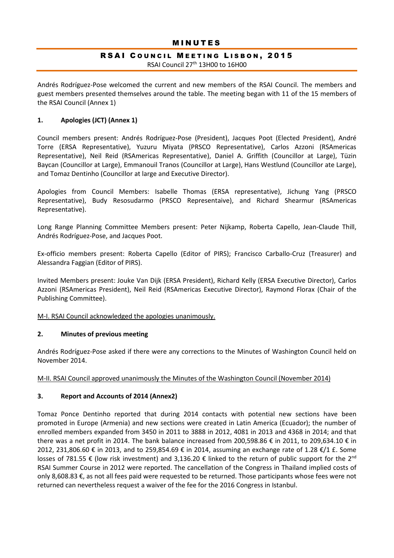#### **MINUTES**

#### RSAI COUNCIL MEETING LISBON, 2015 RSAI Council 27<sup>th</sup> 13H00 to 16H00

Andrés Rodríguez-Pose welcomed the current and new members of the RSAI Council. The members and guest members presented themselves around the table. The meeting began with 11 of the 15 members of the RSAI Council (Annex 1)

#### **1. Apologies (JCT) (Annex 1)**

Council members present: Andrés Rodríguez-Pose (President), Jacques Poot (Elected President), André Torre (ERSA Representative), Yuzuru Miyata (PRSCO Representative), Carlos Azzoni (RSAmericas Representative), Neil Reid (RSAmericas Representative), Daniel A. Griffith (Councillor at Large), Tüzin Baycan (Councillor at Large), Emmanouil Tranos (Councillor at Large), Hans Westlund (Councillor ate Large), and Tomaz Dentinho (Councillor at large and Executive Director).

Apologies from Council Members: Isabelle Thomas (ERSA representative), Jichung Yang (PRSCO Representative), Budy Resosudarmo (PRSCO Representaive), and Richard Shearmur (RSAmericas Representative).

Long Range Planning Committee Members present: Peter Nijkamp, Roberta Capello, Jean-Claude Thill, Andrés Rodríguez-Pose, and Jacques Poot.

Ex-officio members present: Roberta Capello (Editor of PIRS); Francisco Carballo-Cruz (Treasurer) and Alessandra Faggian (Editor of PIRS).

Invited Members present: Jouke Van Dijk (ERSA President), Richard Kelly (ERSA Executive Director), Carlos Azzoni (RSAmericas President), Neil Reid (RSAmericas Executive Director), Raymond Florax (Chair of the Publishing Committee).

#### M-I. RSAI Council acknowledged the apologies unanimously.

#### **2. Minutes of previous meeting**

Andrés Rodríguez-Pose asked if there were any corrections to the Minutes of Washington Council held on November 2014.

#### M-II. RSAI Council approved unanimously the Minutes of the Washington Council (November 2014)

#### **3. Report and Accounts of 2014 (Annex2)**

Tomaz Ponce Dentinho reported that during 2014 contacts with potential new sections have been promoted in Europe (Armenia) and new sections were created in Latin America (Ecuador); the number of enrolled members expanded from 3450 in 2011 to 3888 in 2012, 4081 in 2013 and 4368 in 2014; and that there was a net profit in 2014. The bank balance increased from 200,598.86 € in 2011, to 209,634.10 € in 2012, 231,806.60 € in 2013, and to 259,854.69 € in 2014, assuming an exchange rate of 1.28 €/1 £. Some losses of 781.55 € (low risk investment) and 3,136.20 € linked to the return of public support for the 2<sup>nd</sup> RSAI Summer Course in 2012 were reported. The cancellation of the Congress in Thailand implied costs of only 8,608.83 €, as not all fees paid were requested to be returned. Those participants whose fees were not returned can nevertheless request a waiver of the fee for the 2016 Congress in Istanbul.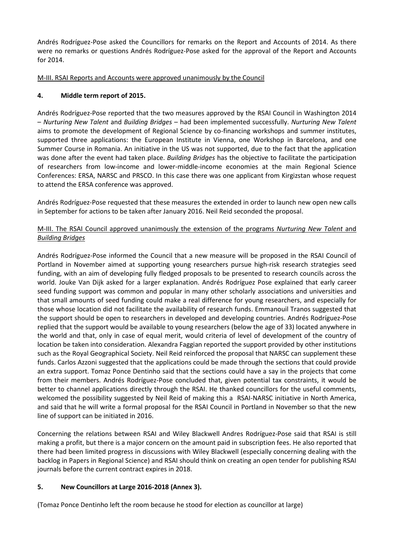Andrés Rodríguez-Pose asked the Councillors for remarks on the Report and Accounts of 2014. As there were no remarks or questions Andrés Rodríguez-Pose asked for the approval of the Report and Accounts for 2014.

## M-III. RSAI Reports and Accounts were approved unanimously by the Council

## **4. Middle term report of 2015.**

Andrés Rodríguez-Pose reported that the two measures approved by the RSAI Council in Washington 2014 – *Nurturing New Talent* and *Building Bridges* – had been implemented successfully. *Nurturing New Talent* aims to promote the development of Regional Science by co-financing workshops and summer institutes, supported three applications: the European Institute in Vienna, one Workshop in Barcelona, and one Summer Course in Romania. An initiative in the US was not supported, due to the fact that the application was done after the event had taken place. *Building Bridges* has the objective to facilitate the participation of researchers from low-income and lower-middle-income economies at the main Regional Science Conferences: ERSA, NARSC and PRSCO. In this case there was one applicant from Kirgizstan whose request to attend the ERSA conference was approved.

Andrés Rodríguez-Pose requested that these measures the extended in order to launch new open new calls in September for actions to be taken after January 2016. Neil Reid seconded the proposal.

#### M-III. The RSAI Council approved unanimously the extension of the programs *Nurturing New Talent* and *Building Bridges*

Andrés Rodríguez-Pose informed the Council that a new measure will be proposed in the RSAI Council of Portland in November aimed at supporting young researchers pursue high-risk research strategies seed funding, with an aim of developing fully fledged proposals to be presented to research councils across the world. Jouke Van Dijk asked for a larger explanation. Andrés Rodríguez Pose explained that early career seed funding support was common and popular in many other scholarly associations and universities and that small amounts of seed funding could make a real difference for young researchers, and especially for those whose location did not facilitate the availability of research funds. Emmanouil Tranos suggested that the support should be open to researchers in developed and developing countries. Andrés Rodríguez-Pose replied that the support would be available to young researchers (below the age of 33) located anywhere in the world and that, only in case of equal merit, would criteria of level of development of the country of location be taken into consideration. Alexandra Faggian reported the support provided by other institutions such as the Royal Geographical Society. Neil Reid reinforced the proposal that NARSC can supplement these funds. Carlos Azzoni suggested that the applications could be made through the sections that could provide an extra support. Tomaz Ponce Dentinho said that the sections could have a say in the projects that come from their members. Andrés Rodríguez-Pose concluded that, given potential tax constraints, it would be better to channel applications directly through the RSAI. He thanked councillors for the useful comments, welcomed the possibility suggested by Neil Reid of making this a RSAI-NARSC initiative in North America, and said that he will write a formal proposal for the RSAI Council in Portland in November so that the new line of support can be initiated in 2016.

Concerning the relations between RSAI and Wiley Blackwell Andres Rodríguez-Pose said that RSAI is still making a profit, but there is a major concern on the amount paid in subscription fees. He also reported that there had been limited progress in discussions with Wiley Blackwell (especially concerning dealing with the backlog in Papers in Regional Science) and RSAI should think on creating an open tender for publishing RSAI journals before the current contract expires in 2018.

## **5. New Councillors at Large 2016-2018 (Annex 3).**

(Tomaz Ponce Dentinho left the room because he stood for election as councillor at large)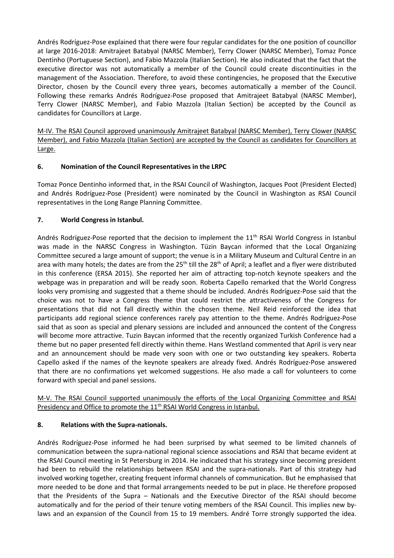Andrés Rodríguez-Pose explained that there were four regular candidates for the one position of councillor at large 2016-2018: Amitrajeet Batabyal (NARSC Member), Terry Clower (NARSC Member), Tomaz Ponce Dentinho (Portuguese Section), and Fabio Mazzola (Italian Section). He also indicated that the fact that the executive director was not automatically a member of the Council could create discontinuities in the management of the Association. Therefore, to avoid these contingencies, he proposed that the Executive Director, chosen by the Council every three years, becomes automatically a member of the Council. Following these remarks Andrés Rodríguez-Pose proposed that Amitrajeet Batabyal (NARSC Member), Terry Clower (NARSC Member), and Fabio Mazzola (Italian Section) be accepted by the Council as candidates for Councillors at Large.

M-IV. The RSAI Council approved unanimously Amitrajeet Batabyal (NARSC Member), Terry Clower (NARSC Member), and Fabio Mazzola (Italian Section) are accepted by the Council as candidates for Councillors at Large.

## **6. Nomination of the Council Representatives in the LRPC**

Tomaz Ponce Dentinho informed that, in the RSAI Council of Washington, Jacques Poot (President Elected) and Andrés Rodríguez-Pose (President) were nominated by the Council in Washington as RSAI Council representatives in the Long Range Planning Committee.

## **7. World Congress in Istanbul.**

Andrés Rodríguez-Pose reported that the decision to implement the  $11<sup>th</sup>$  RSAI World Congress in Istanbul was made in the NARSC Congress in Washington. Tüzin Baycan informed that the Local Organizing Committee secured a large amount of support; the venue is in a Military Museum and Cultural Centre in an area with many hotels; the dates are from the 25<sup>th</sup> till the 28<sup>th</sup> of April; a leaflet and a flyer were distributed in this conference (ERSA 2015). She reported her aim of attracting top-notch keynote speakers and the webpage was in preparation and will be ready soon. Roberta Capello remarked that the World Congress looks very promising and suggested that a theme should be included. Andrés Rodríguez-Pose said that the choice was not to have a Congress theme that could restrict the attractiveness of the Congress for presentations that did not fall directly within the chosen theme. Neil Reid reinforced the idea that participants add regional science conferences rarely pay attention to the theme. Andrés Rodríguez-Pose said that as soon as special and plenary sessions are included and announced the content of the Congress will become more attractive. Tuzin Baycan informed that the recently organized Turkish Conference had a theme but no paper presented fell directly within theme. Hans Westland commented that April is very near and an announcement should be made very soon with one or two outstanding key speakers. Roberta Capello asked if the names of the keynote speakers are already fixed. Andrés Rodríguez-Pose answered that there are no confirmations yet welcomed suggestions. He also made a call for volunteers to come forward with special and panel sessions.

M-V. The RSAI Council supported unanimously the efforts of the Local Organizing Committee and RSAI Presidency and Office to promote the 11<sup>th</sup> RSAI World Congress in Istanbul.

## **8. Relations with the Supra-nationals.**

Andrés Rodríguez-Pose informed he had been surprised by what seemed to be limited channels of communication between the supra-national regional science associations and RSAI that became evident at the RSAI Council meeting in St Petersburg in 2014. He indicated that his strategy since becoming president had been to rebuild the relationships between RSAI and the supra-nationals. Part of this strategy had involved working together, creating frequent informal channels of communication. But he emphasised that more needed to be done and that formal arrangements needed to be put in place. He therefore proposed that the Presidents of the Supra – Nationals and the Executive Director of the RSAI should become automatically and for the period of their tenure voting members of the RSAI Council. This implies new bylaws and an expansion of the Council from 15 to 19 members. André Torre strongly supported the idea.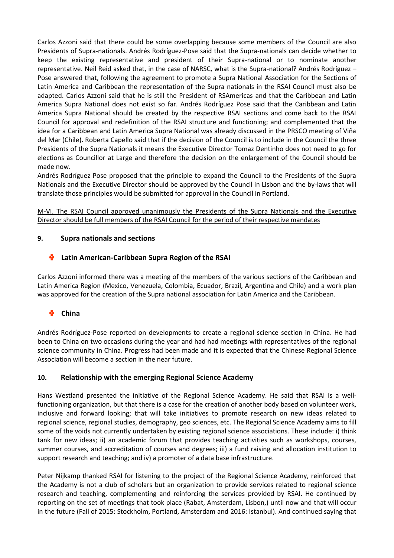Carlos Azzoni said that there could be some overlapping because some members of the Council are also Presidents of Supra-nationals. Andrés Rodríguez-Pose said that the Supra-nationals can decide whether to keep the existing representative and president of their Supra-national or to nominate another representative. Neil Reid asked that, in the case of NARSC, what is the Supra-national? Andrés Rodríguez – Pose answered that, following the agreement to promote a Supra National Association for the Sections of Latin America and Caribbean the representation of the Supra nationals in the RSAI Council must also be adapted. Carlos Azzoni said that he is still the President of RSAmericas and that the Caribbean and Latin America Supra National does not exist so far. Andrés Rodríguez Pose said that the Caribbean and Latin America Supra National should be created by the respective RSAI sections and come back to the RSAI Council for approval and redefinition of the RSAI structure and functioning; and complemented that the idea for a Caribbean and Latin America Supra National was already discussed in the PRSCO meeting of Viña del Mar (Chile). Roberta Capello said that if the decision of the Council is to include in the Council the three Presidents of the Supra Nationals it means the Executive Director Tomaz Dentinho does not need to go for elections as Councillor at Large and therefore the decision on the enlargement of the Council should be made now.

Andrés Rodríguez Pose proposed that the principle to expand the Council to the Presidents of the Supra Nationals and the Executive Director should be approved by the Council in Lisbon and the by-laws that will translate those principles would be submitted for approval in the Council in Portland.

M-VI. The RSAI Council approved unanimously the Presidents of the Supra Nationals and the Executive Director should be full members of the RSAI Council for the period of their respective mandates

## **9. Supra nationals and sections**

#### ÷ **Latin American-Caribbean Supra Region of the RSAI**

Carlos Azzoni informed there was a meeting of the members of the various sections of the Caribbean and Latin America Region (Mexico, Venezuela, Colombia, Ecuador, Brazil, Argentina and Chile) and a work plan was approved for the creation of the Supra national association for Latin America and the Caribbean.

# **China**

Andrés Rodríguez-Pose reported on developments to create a regional science section in China. He had been to China on two occasions during the year and had had meetings with representatives of the regional science community in China. Progress had been made and it is expected that the Chinese Regional Science Association will become a section in the near future.

## **10. Relationship with the emerging Regional Science Academy**

Hans Westland presented the initiative of the Regional Science Academy. He said that RSAI is a wellfunctioning organization, but that there is a case for the creation of another body based on volunteer work, inclusive and forward looking; that will take initiatives to promote research on new ideas related to regional science, regional studies, demography, geo sciences, etc. The Regional Science Academy aims to fill some of the voids not currently undertaken by existing regional science associations. These include: i) think tank for new ideas; ii) an academic forum that provides teaching activities such as workshops, courses, summer courses, and accreditation of courses and degrees; iii) a fund raising and allocation institution to support research and teaching; and iv) a promoter of a data base infrastructure.

Peter Nijkamp thanked RSAI for listening to the project of the Regional Science Academy, reinforced that the Academy is not a club of scholars but an organization to provide services related to regional science research and teaching, complementing and reinforcing the services provided by RSAI. He continued by reporting on the set of meetings that took place (Rabat, Amsterdam, Lisbon,) until now and that will occur in the future (Fall of 2015: Stockholm, Portland, Amsterdam and 2016: Istanbul). And continued saying that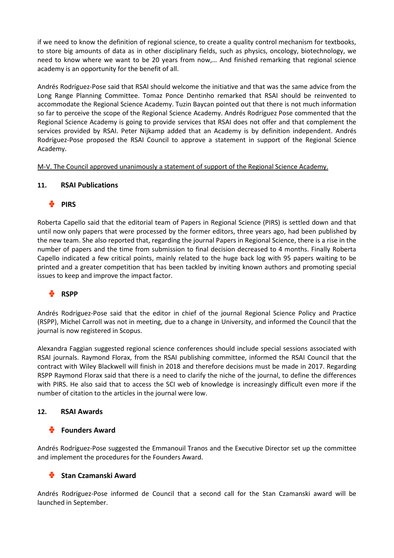if we need to know the definition of regional science, to create a quality control mechanism for textbooks, to store big amounts of data as in other disciplinary fields, such as physics, oncology, biotechnology, we need to know where we want to be 20 years from now,… And finished remarking that regional science academy is an opportunity for the benefit of all.

Andrés Rodríguez-Pose said that RSAI should welcome the initiative and that was the same advice from the Long Range Planning Committee. Tomaz Ponce Dentinho remarked that RSAI should be reinvented to accommodate the Regional Science Academy. Tuzin Baycan pointed out that there is not much information so far to perceive the scope of the Regional Science Academy. Andrés Rodríguez Pose commented that the Regional Science Academy is going to provide services that RSAI does not offer and that complement the services provided by RSAI. Peter Nijkamp added that an Academy is by definition independent. Andrés Rodríguez-Pose proposed the RSAI Council to approve a statement in support of the Regional Science Academy.

M-V. The Council approved unanimously a statement of support of the Regional Science Academy.

## **11. RSAI Publications**

# **PIRS**

Roberta Capello said that the editorial team of Papers in Regional Science (PIRS) is settled down and that until now only papers that were processed by the former editors, three years ago, had been published by the new team. She also reported that, regarding the journal Papers in Regional Science, there is a rise in the number of papers and the time from submission to final decision decreased to 4 months. Finally Roberta Capello indicated a few critical points, mainly related to the huge back log with 95 papers waiting to be printed and a greater competition that has been tackled by inviting known authors and promoting special issues to keep and improve the impact factor.

# **RSPP**

Andrés Rodríguez-Pose said that the editor in chief of the journal Regional Science Policy and Practice (RSPP), Michel Carroll was not in meeting, due to a change in University, and informed the Council that the journal is now registered in Scopus.

Alexandra Faggian suggested regional science conferences should include special sessions associated with RSAI journals. Raymond Florax, from the RSAI publishing committee, informed the RSAI Council that the contract with Wiley Blackwell will finish in 2018 and therefore decisions must be made in 2017. Regarding RSPP Raymond Florax said that there is a need to clarify the niche of the journal, to define the differences with PIRS. He also said that to access the SCI web of knowledge is increasingly difficult even more if the number of citation to the articles in the journal were low.

## **12. RSAI Awards**

## **Founders Award**

Andrés Rodríguez-Pose suggested the Emmanouil Tranos and the Executive Director set up the committee and implement the procedures for the Founders Award.

## **Stan Czamanski Award**

Andrés Rodríguez-Pose informed de Council that a second call for the Stan Czamanski award will be launched in September.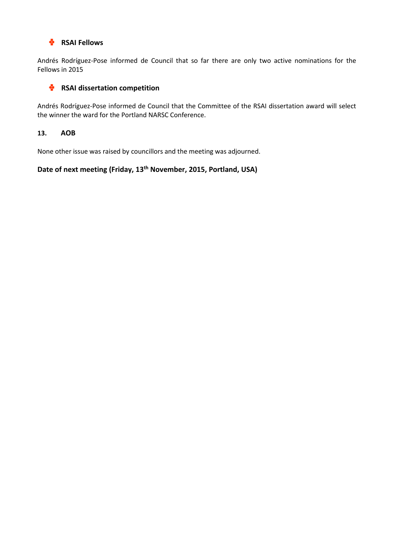#### ۰ **RSAI Fellows**

Andrés Rodríguez-Pose informed de Council that so far there are only two active nominations for the Fellows in 2015

#### ٠ **RSAI dissertation competition**

Andrés Rodríguez-Pose informed de Council that the Committee of the RSAI dissertation award will select the winner the ward for the Portland NARSC Conference.

## **13. AOB**

None other issue was raised by councillors and the meeting was adjourned.

# **Date of next meeting (Friday, 13th November, 2015, Portland, USA)**